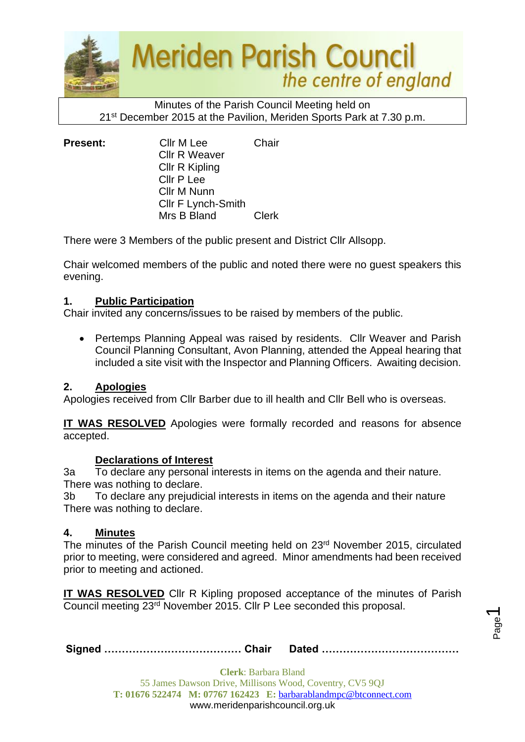

Minutes of the Parish Council Meeting held on 21st December 2015 at the Pavilion, Meriden Sports Park at 7.30 p.m.

| <b>Present:</b> | Cllr M Lee<br><b>Cllr R Weaver</b><br>Cllr R Kipling | Chair        |
|-----------------|------------------------------------------------------|--------------|
|                 | Cllr P Lee<br>Cllr M Nunn                            |              |
|                 | Cllr F Lynch-Smith<br>Mrs B Bland                    | <b>Clerk</b> |

There were 3 Members of the public present and District Cllr Allsopp.

Chair welcomed members of the public and noted there were no guest speakers this evening.

#### **1. Public Participation**

Chair invited any concerns/issues to be raised by members of the public.

• Pertemps Planning Appeal was raised by residents. Cllr Weaver and Parish Council Planning Consultant, Avon Planning, attended the Appeal hearing that included a site visit with the Inspector and Planning Officers. Awaiting decision.

# **2. Apologies**

Apologies received from Cllr Barber due to ill health and Cllr Bell who is overseas.

**IT WAS RESOLVED** Apologies were formally recorded and reasons for absence accepted.

#### **Declarations of Interest**

3a To declare any personal interests in items on the agenda and their nature. There was nothing to declare.

3b To declare any prejudicial interests in items on the agenda and their nature There was nothing to declare.

#### **4. Minutes**

The minutes of the Parish Council meeting held on 23<sup>rd</sup> November 2015, circulated prior to meeting, were considered and agreed. Minor amendments had been received prior to meeting and actioned.

**IT WAS RESOLVED** Cllr R Kipling proposed acceptance of the minutes of Parish Council meeting 23rd November 2015. Cllr P Lee seconded this proposal.

Page  $\overline{\phantom{0}}$ 

|--|--|--|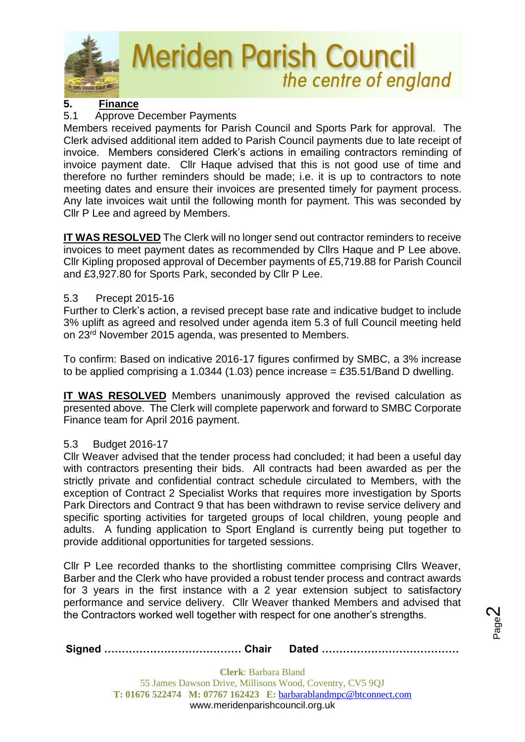

# **5. Finance**

# 5.1 Approve December Payments

Members received payments for Parish Council and Sports Park for approval. The Clerk advised additional item added to Parish Council payments due to late receipt of invoice. Members considered Clerk's actions in emailing contractors reminding of invoice payment date. Cllr Haque advised that this is not good use of time and therefore no further reminders should be made; i.e. it is up to contractors to note meeting dates and ensure their invoices are presented timely for payment process. Any late invoices wait until the following month for payment. This was seconded by Cllr P Lee and agreed by Members.

**IT WAS RESOLVED** The Clerk will no longer send out contractor reminders to receive invoices to meet payment dates as recommended by Cllrs Haque and P Lee above. Cllr Kipling proposed approval of December payments of £5,719.88 for Parish Council and £3,927.80 for Sports Park, seconded by Cllr P Lee.

# 5.3 Precept 2015-16

Further to Clerk's action, a revised precept base rate and indicative budget to include 3% uplift as agreed and resolved under agenda item 5.3 of full Council meeting held on 23rd November 2015 agenda, was presented to Members.

To confirm: Based on indicative 2016-17 figures confirmed by SMBC, a 3% increase to be applied comprising a 1.0344 (1.03) pence increase = £35.51/Band D dwelling.

**IT WAS RESOLVED** Members unanimously approved the revised calculation as presented above. The Clerk will complete paperwork and forward to SMBC Corporate Finance team for April 2016 payment.

# 5.3 Budget 2016-17

Cllr Weaver advised that the tender process had concluded; it had been a useful day with contractors presenting their bids. All contracts had been awarded as per the strictly private and confidential contract schedule circulated to Members, with the exception of Contract 2 Specialist Works that requires more investigation by Sports Park Directors and Contract 9 that has been withdrawn to revise service delivery and specific sporting activities for targeted groups of local children, young people and adults. A funding application to Sport England is currently being put together to provide additional opportunities for targeted sessions.

Cllr P Lee recorded thanks to the shortlisting committee comprising Cllrs Weaver, Barber and the Clerk who have provided a robust tender process and contract awards for 3 years in the first instance with a 2 year extension subject to satisfactory performance and service delivery. Cllr Weaver thanked Members and advised that the Contractors worked well together with respect for one another's strengths.

|--|--|

Page  $\boldsymbol{\sim}$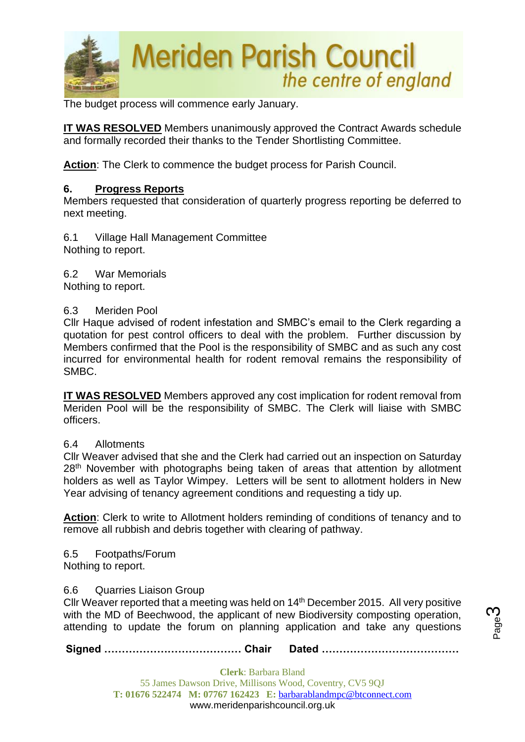

The budget process will commence early January.

**IT WAS RESOLVED** Members unanimously approved the Contract Awards schedule and formally recorded their thanks to the Tender Shortlisting Committee.

**Action**: The Clerk to commence the budget process for Parish Council.

#### **6. Progress Reports**

Members requested that consideration of quarterly progress reporting be deferred to next meeting.

6.1 Village Hall Management Committee Nothing to report.

6.2 War Memorials

Nothing to report.

#### 6.3 Meriden Pool

Cllr Haque advised of rodent infestation and SMBC's email to the Clerk regarding a quotation for pest control officers to deal with the problem. Further discussion by Members confirmed that the Pool is the responsibility of SMBC and as such any cost incurred for environmental health for rodent removal remains the responsibility of SMBC.

**IT WAS RESOLVED** Members approved any cost implication for rodent removal from Meriden Pool will be the responsibility of SMBC. The Clerk will liaise with SMBC officers.

#### 6.4 Allotments

Cllr Weaver advised that she and the Clerk had carried out an inspection on Saturday 28<sup>th</sup> November with photographs being taken of areas that attention by allotment holders as well as Taylor Wimpey. Letters will be sent to allotment holders in New Year advising of tenancy agreement conditions and requesting a tidy up.

**Action**: Clerk to write to Allotment holders reminding of conditions of tenancy and to remove all rubbish and debris together with clearing of pathway.

6.5 Footpaths/Forum

Nothing to report.

#### 6.6 Quarries Liaison Group

Cllr Weaver reported that a meeting was held on 14th December 2015. All very positive with the MD of Beechwood, the applicant of new Biodiversity composting operation, attending to update the forum on planning application and take any questions

**Signed ………………………………… Chair Dated …………………………………**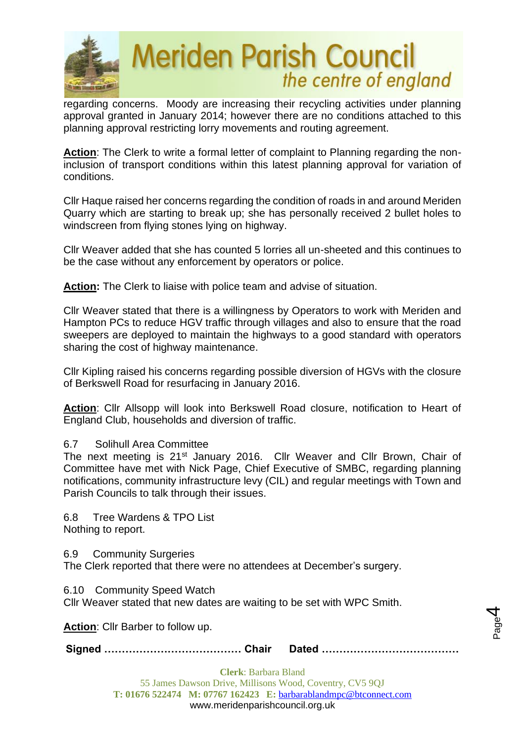

regarding concerns. Moody are increasing their recycling activities under planning approval granted in January 2014; however there are no conditions attached to this planning approval restricting lorry movements and routing agreement.

Action: The Clerk to write a formal letter of complaint to Planning regarding the noninclusion of transport conditions within this latest planning approval for variation of conditions.

Cllr Haque raised her concerns regarding the condition of roads in and around Meriden Quarry which are starting to break up; she has personally received 2 bullet holes to windscreen from flying stones lying on highway.

Cllr Weaver added that she has counted 5 lorries all un-sheeted and this continues to be the case without any enforcement by operators or police.

**Action:** The Clerk to liaise with police team and advise of situation.

Cllr Weaver stated that there is a willingness by Operators to work with Meriden and Hampton PCs to reduce HGV traffic through villages and also to ensure that the road sweepers are deployed to maintain the highways to a good standard with operators sharing the cost of highway maintenance.

Cllr Kipling raised his concerns regarding possible diversion of HGVs with the closure of Berkswell Road for resurfacing in January 2016.

**Action**: Cllr Allsopp will look into Berkswell Road closure, notification to Heart of England Club, households and diversion of traffic.

# 6.7 Solihull Area Committee

The next meeting is 21<sup>st</sup> January 2016. Cllr Weaver and Cllr Brown, Chair of Committee have met with Nick Page, Chief Executive of SMBC, regarding planning notifications, community infrastructure levy (CIL) and regular meetings with Town and Parish Councils to talk through their issues.

6.8 Tree Wardens & TPO List Nothing to report.

6.9 Community Surgeries

The Clerk reported that there were no attendees at December's surgery.

6.10 Community Speed Watch

Cllr Weaver stated that new dates are waiting to be set with WPC Smith.

**Action**: Cllr Barber to follow up.

**Signed ………………………………… Chair Dated …………………………………**

**Clerk**: Barbara Bland 55 James Dawson Drive, Millisons Wood, Coventry, CV5 9QJ **T: 01676 522474 M: 07767 162423 E:** [barbarablandmpc@btconnect.com](mailto:barbarablandmpc@btconnect.com) www.meridenparishcouncil.org.uk

Page 4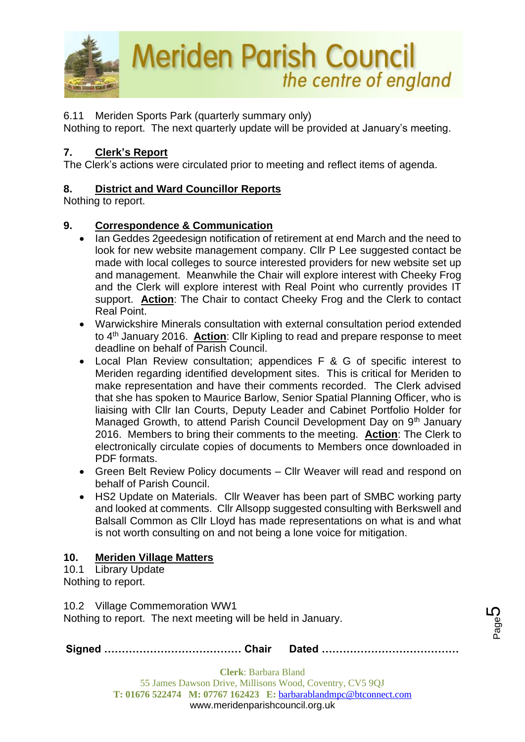

6.11 Meriden Sports Park (quarterly summary only)

Nothing to report. The next quarterly update will be provided at January's meeting.

# **7. Clerk's Report**

The Clerk's actions were circulated prior to meeting and reflect items of agenda.

# **8. District and Ward Councillor Reports**

Nothing to report.

# **9. Correspondence & Communication**

- Ian Geddes 2geedesign notification of retirement at end March and the need to look for new website management company. Cllr P Lee suggested contact be made with local colleges to source interested providers for new website set up and management. Meanwhile the Chair will explore interest with Cheeky Frog and the Clerk will explore interest with Real Point who currently provides IT support. **Action**: The Chair to contact Cheeky Frog and the Clerk to contact Real Point.
- Warwickshire Minerals consultation with external consultation period extended to 4th January 2016. **Action**: Cllr Kipling to read and prepare response to meet deadline on behalf of Parish Council.
- Local Plan Review consultation; appendices F & G of specific interest to Meriden regarding identified development sites. This is critical for Meriden to make representation and have their comments recorded. The Clerk advised that she has spoken to Maurice Barlow, Senior Spatial Planning Officer, who is liaising with Cllr Ian Courts, Deputy Leader and Cabinet Portfolio Holder for Managed Growth, to attend Parish Council Development Day on 9<sup>th</sup> January 2016. Members to bring their comments to the meeting. **Action**: The Clerk to electronically circulate copies of documents to Members once downloaded in PDF formats.
- Green Belt Review Policy documents Cllr Weaver will read and respond on behalf of Parish Council.
- HS2 Update on Materials. Cllr Weaver has been part of SMBC working party and looked at comments. Cllr Allsopp suggested consulting with Berkswell and Balsall Common as Cllr Lloyd has made representations on what is and what is not worth consulting on and not being a lone voice for mitigation.

# **10. Meriden Village Matters**

10.1 Library Update Nothing to report.

10.2 Village Commemoration WW1

Nothing to report. The next meeting will be held in January.

**Signed ………………………………… Chair Dated …………………………………**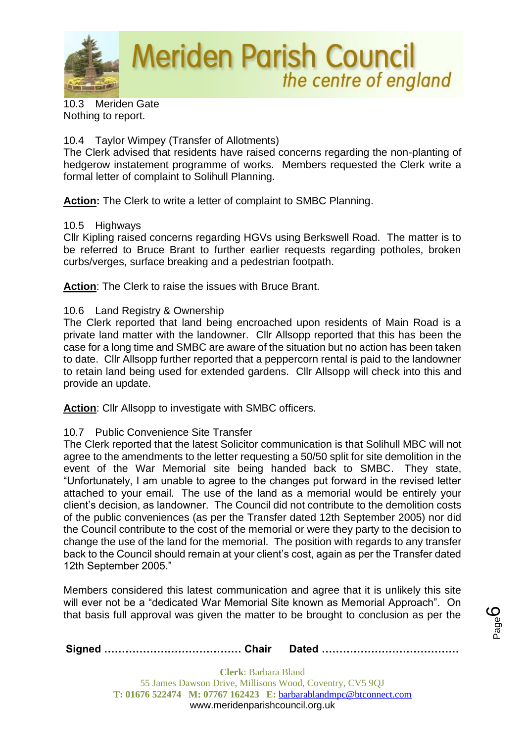

10.3 Meriden Gate Nothing to report.

# 10.4 Taylor Wimpey (Transfer of Allotments)

The Clerk advised that residents have raised concerns regarding the non-planting of hedgerow instatement programme of works. Members requested the Clerk write a formal letter of complaint to Solihull Planning.

**Action:** The Clerk to write a letter of complaint to SMBC Planning.

# 10.5 Highways

Cllr Kipling raised concerns regarding HGVs using Berkswell Road. The matter is to be referred to Bruce Brant to further earlier requests regarding potholes, broken curbs/verges, surface breaking and a pedestrian footpath.

**Action**: The Clerk to raise the issues with Bruce Brant.

# 10.6 Land Registry & Ownership

The Clerk reported that land being encroached upon residents of Main Road is a private land matter with the landowner. Cllr Allsopp reported that this has been the case for a long time and SMBC are aware of the situation but no action has been taken to date. Cllr Allsopp further reported that a peppercorn rental is paid to the landowner to retain land being used for extended gardens. Cllr Allsopp will check into this and provide an update.

**Action**: Cllr Allsopp to investigate with SMBC officers.

# 10.7 Public Convenience Site Transfer

The Clerk reported that the latest Solicitor communication is that Solihull MBC will not agree to the amendments to the letter requesting a 50/50 split for site demolition in the event of the War Memorial site being handed back to SMBC. They state, "Unfortunately, I am unable to agree to the changes put forward in the revised letter attached to your email. The use of the land as a memorial would be entirely your client's decision, as landowner. The Council did not contribute to the demolition costs of the public conveniences (as per the Transfer dated 12th September 2005) nor did the Council contribute to the cost of the memorial or were they party to the decision to change the use of the land for the memorial. The position with regards to any transfer back to the Council should remain at your client's cost, again as per the Transfer dated 12th September 2005."

Members considered this latest communication and agree that it is unlikely this site will ever not be a "dedicated War Memorial Site known as Memorial Approach". On that basis full approval was given the matter to be brought to conclusion as per the

Page ပ

**Signed ………………………………… Chair Dated …………………………………**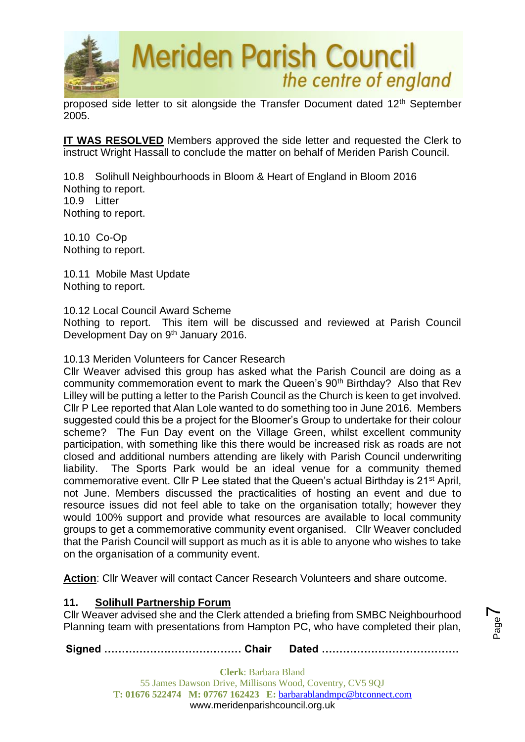

proposed side letter to sit alongside the Transfer Document dated 12th September 2005.

**IT WAS RESOLVED** Members approved the side letter and requested the Clerk to instruct Wright Hassall to conclude the matter on behalf of Meriden Parish Council.

10.8 Solihull Neighbourhoods in Bloom & Heart of England in Bloom 2016 Nothing to report. 10.9 Litter Nothing to report.

10.10 Co-Op Nothing to report.

10.11 Mobile Mast Update Nothing to report.

10.12 Local Council Award Scheme

Nothing to report. This item will be discussed and reviewed at Parish Council Development Day on 9<sup>th</sup> January 2016.

10.13 Meriden Volunteers for Cancer Research

Cllr Weaver advised this group has asked what the Parish Council are doing as a community commemoration event to mark the Queen's 90<sup>th</sup> Birthday? Also that Rev Lilley will be putting a letter to the Parish Council as the Church is keen to get involved. Cllr P Lee reported that Alan Lole wanted to do something too in June 2016. Members suggested could this be a project for the Bloomer's Group to undertake for their colour scheme? The Fun Day event on the Village Green, whilst excellent community participation, with something like this there would be increased risk as roads are not closed and additional numbers attending are likely with Parish Council underwriting liability. The Sports Park would be an ideal venue for a community themed commemorative event. Cllr P Lee stated that the Queen's actual Birthday is 21<sup>st</sup> April, not June. Members discussed the practicalities of hosting an event and due to resource issues did not feel able to take on the organisation totally; however they would 100% support and provide what resources are available to local community groups to get a commemorative community event organised. Cllr Weaver concluded that the Parish Council will support as much as it is able to anyone who wishes to take on the organisation of a community event.

**Action**: Cllr Weaver will contact Cancer Research Volunteers and share outcome.

# **11. Solihull Partnership Forum**

Cllr Weaver advised she and the Clerk attended a briefing from SMBC Neighbourhood Planning team with presentations from Hampton PC, who have completed their plan,

Page  $\blacktriangleright$ 

**Signed ………………………………… Chair Dated …………………………………**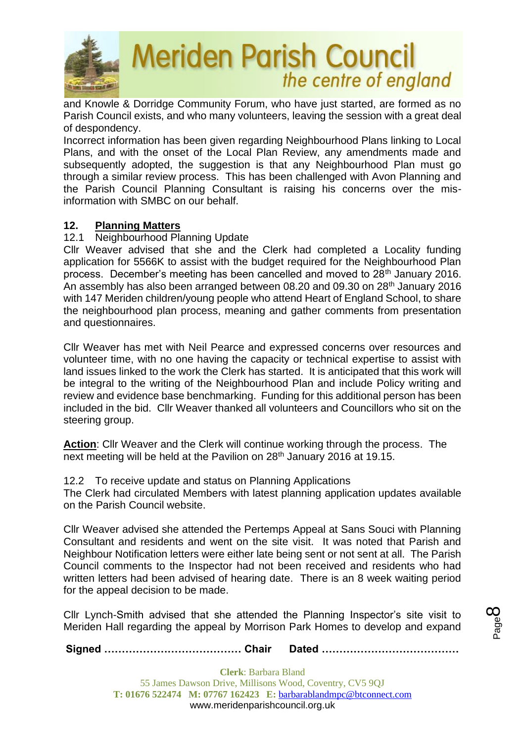

and Knowle & Dorridge Community Forum, who have just started, are formed as no Parish Council exists, and who many volunteers, leaving the session with a great deal of despondency.

Incorrect information has been given regarding Neighbourhood Plans linking to Local Plans, and with the onset of the Local Plan Review, any amendments made and subsequently adopted, the suggestion is that any Neighbourhood Plan must go through a similar review process. This has been challenged with Avon Planning and the Parish Council Planning Consultant is raising his concerns over the misinformation with SMBC on our behalf.

# **12. Planning Matters**

# 12.1 Neighbourhood Planning Update

Cllr Weaver advised that she and the Clerk had completed a Locality funding application for 5566K to assist with the budget required for the Neighbourhood Plan process. December's meeting has been cancelled and moved to 28<sup>th</sup> January 2016. An assembly has also been arranged between 08.20 and 09.30 on 28th January 2016 with 147 Meriden children/young people who attend Heart of England School, to share the neighbourhood plan process, meaning and gather comments from presentation and questionnaires.

Cllr Weaver has met with Neil Pearce and expressed concerns over resources and volunteer time, with no one having the capacity or technical expertise to assist with land issues linked to the work the Clerk has started. It is anticipated that this work will be integral to the writing of the Neighbourhood Plan and include Policy writing and review and evidence base benchmarking. Funding for this additional person has been included in the bid. Cllr Weaver thanked all volunteers and Councillors who sit on the steering group.

**Action**: Cllr Weaver and the Clerk will continue working through the process. The next meeting will be held at the Pavilion on 28<sup>th</sup> January 2016 at 19.15.

12.2 To receive update and status on Planning Applications

The Clerk had circulated Members with latest planning application updates available on the Parish Council website.

Cllr Weaver advised she attended the Pertemps Appeal at Sans Souci with Planning Consultant and residents and went on the site visit. It was noted that Parish and Neighbour Notification letters were either late being sent or not sent at all. The Parish Council comments to the Inspector had not been received and residents who had written letters had been advised of hearing date. There is an 8 week waiting period for the appeal decision to be made.

Cllr Lynch-Smith advised that she attended the Planning Inspector's site visit to Meriden Hall regarding the appeal by Morrison Park Homes to develop and expand

**Signed ………………………………… Chair Dated …………………………………**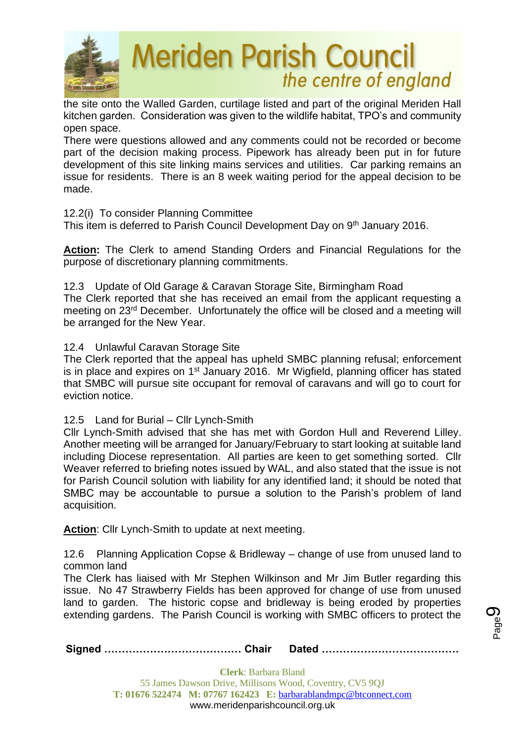

the site onto the Walled Garden, curtilage listed and part of the original Meriden Hall kitchen garden. Consideration was given to the wildlife habitat, TPO's and community open space.

There were questions allowed and any comments could not be recorded or become part of the decision making process. Pipework has already been put in for future development of this site linking mains services and utilities. Car parking remains an issue for residents. There is an 8 week waiting period for the appeal decision to be made.

# 12.2(i) To consider Planning Committee

This item is deferred to Parish Council Development Day on 9<sup>th</sup> January 2016.

**Action:** The Clerk to amend Standing Orders and Financial Regulations for the purpose of discretionary planning commitments.

12.3 Update of Old Garage & Caravan Storage Site, Birmingham Road

The Clerk reported that she has received an email from the applicant requesting a meeting on 23rd December. Unfortunately the office will be closed and a meeting will be arranged for the New Year.

# 12.4 Unlawful Caravan Storage Site

The Clerk reported that the appeal has upheld SMBC planning refusal; enforcement is in place and expires on 1st January 2016. Mr Wigfield, planning officer has stated that SMBC will pursue site occupant for removal of caravans and will go to court for eviction notice.

# 12.5 Land for Burial – Cllr Lynch-Smith

Cllr Lynch-Smith advised that she has met with Gordon Hull and Reverend Lilley. Another meeting will be arranged for January/February to start looking at suitable land including Diocese representation. All parties are keen to get something sorted. Cllr Weaver referred to briefing notes issued by WAL, and also stated that the issue is not for Parish Council solution with liability for any identified land; it should be noted that SMBC may be accountable to pursue a solution to the Parish's problem of land acquisition.

Action: Cllr Lynch-Smith to update at next meeting.

12.6 Planning Application Copse & Bridleway – change of use from unused land to common land

The Clerk has liaised with Mr Stephen Wilkinson and Mr Jim Butler regarding this issue. No 47 Strawberry Fields has been approved for change of use from unused land to garden. The historic copse and bridleway is being eroded by properties extending gardens. The Parish Council is working with SMBC officers to protect the

**Signed ………………………………… Chair Dated …………………………………**